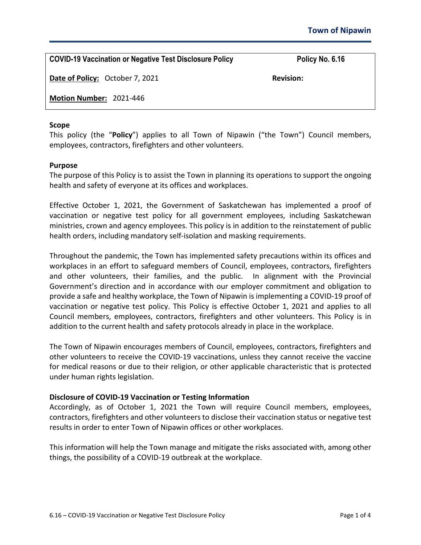**COVID-19 Vaccination or Negative Test Disclosure Policy Policy No. 6.16**

**Date of Policy:** October 7, 2021 **Revision: Revision:** 

**Motion Number:** 2021-446

# **Scope**

This policy (the "**Policy**") applies to all Town of Nipawin ("the Town") Council members, employees, contractors, firefighters and other volunteers.

# **Purpose**

The purpose of this Policy is to assist the Town in planning its operations to support the ongoing health and safety of everyone at its offices and workplaces.

Effective October 1, 2021, the Government of Saskatchewan has implemented a proof of vaccination or negative test policy for all government employees, including Saskatchewan ministries, crown and agency employees. This policy is in addition to the reinstatement of public health orders, including mandatory self-isolation and masking requirements.

Throughout the pandemic, the Town has implemented safety precautions within its offices and workplaces in an effort to safeguard members of Council, employees, contractors, firefighters and other volunteers, their families, and the public. In alignment with the Provincial Government's direction and in accordance with our employer commitment and obligation to provide a safe and healthy workplace, the Town of Nipawin is implementing a COVID-19 proof of vaccination or negative test policy. This Policy is effective October 1, 2021 and applies to all Council members, employees, contractors, firefighters and other volunteers. This Policy is in addition to the current health and safety protocols already in place in the workplace.

The Town of Nipawin encourages members of Council, employees, contractors, firefighters and other volunteers to receive the COVID-19 vaccinations, unless they cannot receive the vaccine for medical reasons or due to their religion, or other applicable characteristic that is protected under human rights legislation.

# **Disclosure of COVID-19 Vaccination or Testing Information**

Accordingly, as of October 1, 2021 the Town will require Council members, employees, contractors, firefighters and other volunteers to disclose their vaccination status or negative test results in order to enter Town of Nipawin offices or other workplaces.

This information will help the Town manage and mitigate the risks associated with, among other things, the possibility of a COVID-19 outbreak at the workplace.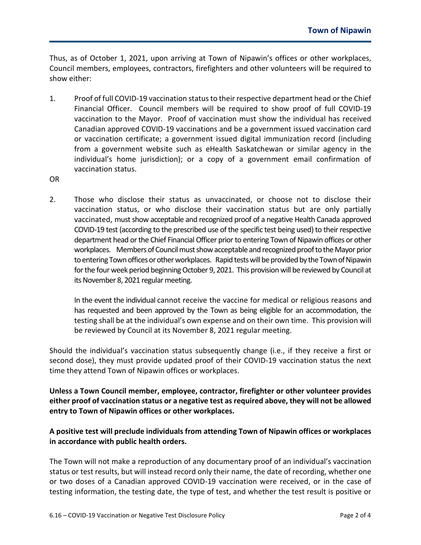Thus, as of October 1, 2021, upon arriving at Town of Nipawin's offices or other workplaces, Council members, employees, contractors, firefighters and other volunteers will be required to show either:

- 1. Proof of full COVID-19 vaccination status to their respective department head or the Chief Financial Officer. Council members will be required to show proof of full COVID-19 vaccination to the Mayor. Proof of vaccination must show the individual has received Canadian approved COVID-19 vaccinations and be a government issued vaccination card or vaccination certificate; a government issued digital immunization record (including from a government website such as eHealth Saskatchewan or similar agency in the individual's home jurisdiction); or a copy of a government email confirmation of vaccination status.
- OR
- 2. Those who disclose their status as unvaccinated, or choose not to disclose their vaccination status, or who disclose their vaccination status but are only partially vaccinated, must show acceptable and recognized proof of a negative Health Canada approved COVID-19 test (according to the prescribed use of the specific test being used) to their respective department head or the Chief Financial Officer prior to entering Town of Nipawin offices or other workplaces. Members of Council must show acceptable and recognized proof to the Mayor prior to entering Town offices or other workplaces. Rapid tests will be provided by the Town of Nipawin for the four week period beginning October 9, 2021. This provision will be reviewed by Council at its November 8, 2021 regular meeting.

In the event the individual cannot receive the vaccine for medical or religious reasons and has requested and been approved by the Town as being eligible for an accommodation, the testing shall be at the individual's own expense and on their own time. This provision will be reviewed by Council at its November 8, 2021 regular meeting.

Should the individual's vaccination status subsequently change (i.e., if they receive a first or second dose), they must provide updated proof of their COVID-19 vaccination status the next time they attend Town of Nipawin offices or workplaces.

**Unless a Town Council member, employee, contractor, firefighter or other volunteer provides either proof of vaccination status or a negative test as required above, they will not be allowed entry to Town of Nipawin offices or other workplaces.**

# **A positive test will preclude individuals from attending Town of Nipawin offices or workplaces in accordance with public health orders.**

The Town will not make a reproduction of any documentary proof of an individual's vaccination status or test results, but will instead record only their name, the date of recording, whether one or two doses of a Canadian approved COVID-19 vaccination were received, or in the case of testing information, the testing date, the type of test, and whether the test result is positive or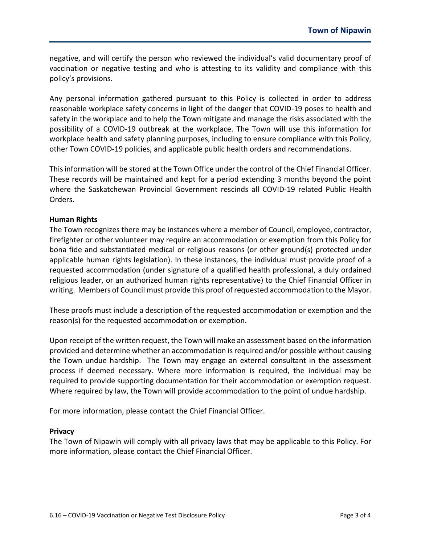negative, and will certify the person who reviewed the individual's valid documentary proof of vaccination or negative testing and who is attesting to its validity and compliance with this policy's provisions.

Any personal information gathered pursuant to this Policy is collected in order to address reasonable workplace safety concerns in light of the danger that COVID-19 poses to health and safety in the workplace and to help the Town mitigate and manage the risks associated with the possibility of a COVID-19 outbreak at the workplace. The Town will use this information for workplace health and safety planning purposes, including to ensure compliance with this Policy, other Town COVID-19 policies, and applicable public health orders and recommendations.

This information will be stored at the Town Office under the control of the Chief Financial Officer. These records will be maintained and kept for a period extending 3 months beyond the point where the Saskatchewan Provincial Government rescinds all COVID-19 related Public Health Orders.

### **Human Rights**

The Town recognizes there may be instances where a member of Council, employee, contractor, firefighter or other volunteer may require an accommodation or exemption from this Policy for bona fide and substantiated medical or religious reasons (or other ground(s) protected under applicable human rights legislation). In these instances, the individual must provide proof of a requested accommodation (under signature of a qualified health professional, a duly ordained religious leader, or an authorized human rights representative) to the Chief Financial Officer in writing. Members of Council must provide this proof of requested accommodation to the Mayor.

These proofs must include a description of the requested accommodation or exemption and the reason(s) for the requested accommodation or exemption.

Upon receipt of the written request, the Town will make an assessment based on the information provided and determine whether an accommodation is required and/or possible without causing the Town undue hardship. The Town may engage an external consultant in the assessment process if deemed necessary. Where more information is required, the individual may be required to provide supporting documentation for their accommodation or exemption request. Where required by law, the Town will provide accommodation to the point of undue hardship.

For more information, please contact the Chief Financial Officer.

#### **Privacy**

The Town of Nipawin will comply with all privacy laws that may be applicable to this Policy. For more information, please contact the Chief Financial Officer.